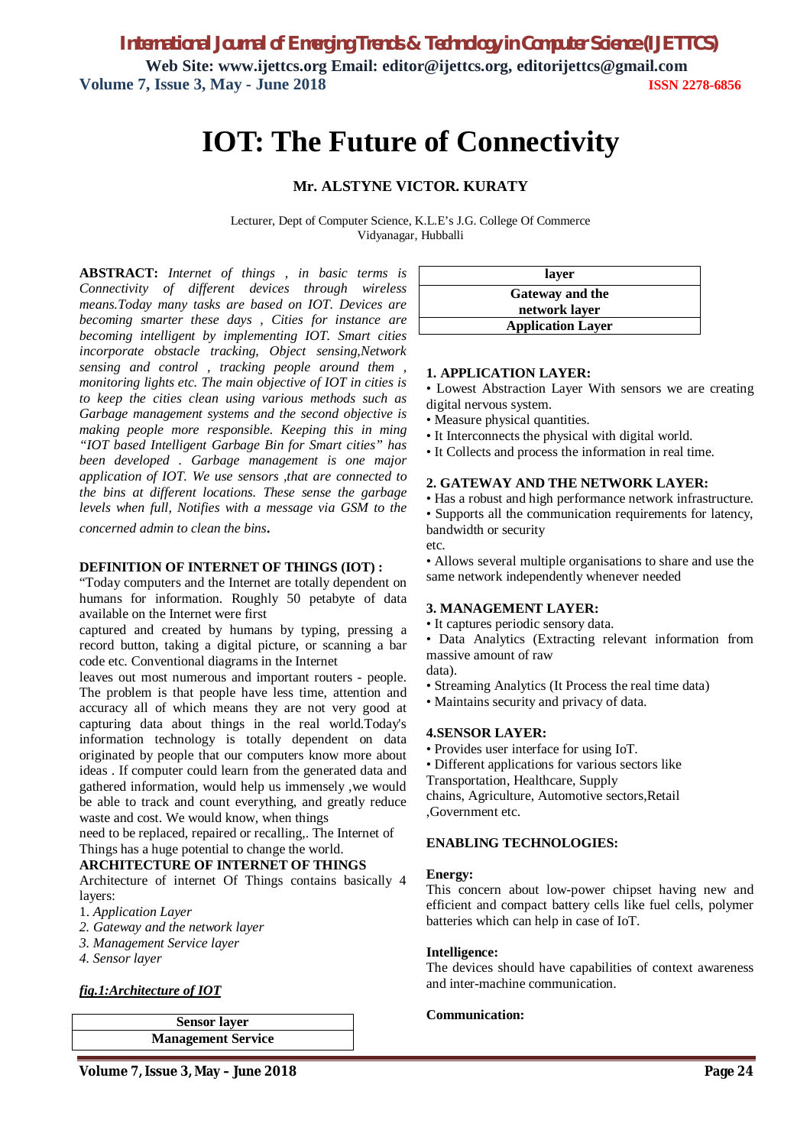*International Journal of Emerging Trends & Technology in Computer Science (IJETTCS)* **Web Site: www.ijettcs.org Email: editor@ijettcs.org, [editorijettcs@gmail.com](mailto:editorijettcs@gmail.com)  Volume 7, Issue 3, May - June 2018 ISSN 2278-6856**

# **IOT: The Future of Connectivity**

# **Mr. ALSTYNE VICTOR. KURATY**

Lecturer, Dept of Computer Science, K.L.E's J.G. College Of Commerce Vidyanagar, Hubballi

**ABSTRACT:** *Internet of things , in basic terms is Connectivity of different devices through wireless means.Today many tasks are based on IOT. Devices are becoming smarter these days , Cities for instance are becoming intelligent by implementing IOT. Smart cities incorporate obstacle tracking, Object sensing,Network sensing and control , tracking people around them , monitoring lights etc. The main objective of IOT in cities is to keep the cities clean using various methods such as Garbage management systems and the second objective is making people more responsible. Keeping this in ming "IOT based Intelligent Garbage Bin for Smart cities" has been developed . Garbage management is one major application of IOT. We use sensors ,that are connected to the bins at different locations. These sense the garbage levels when full, Notifies with a message via GSM to the*

*concerned admin to clean the bins.*

#### **DEFINITION OF INTERNET OF THINGS (IOT) :**

"Today computers and the Internet are totally dependent on humans for information. Roughly 50 petabyte of data available on the Internet were first

captured and created by humans by typing, pressing a record button, taking a digital picture, or scanning a bar code etc. Conventional diagrams in the Internet

leaves out most numerous and important routers - people. The problem is that people have less time, attention and accuracy all of which means they are not very good at capturing data about things in the real world.Today's information technology is totally dependent on data originated by people that our computers know more about ideas . If computer could learn from the generated data and gathered information, would help us immensely ,we would be able to track and count everything, and greatly reduce waste and cost. We would know, when things

need to be replaced, repaired or recalling,. The Internet of Things has a huge potential to change the world.

## **ARCHITECTURE OF INTERNET OF THINGS**

Architecture of internet Of Things contains basically 4 layers:

1. *Application Layer*

- *2. Gateway and the network layer*
- *3. Management Service layer*
- *4. Sensor layer*

## *fig.1:Architecture of IOT*

**Sensor layer Management Service**

| layer                    |
|--------------------------|
| <b>Gateway and the</b>   |
| network layer            |
| <b>Application Layer</b> |

#### **1. APPLICATION LAYER:**

• Lowest Abstraction Layer With sensors we are creating digital nervous system.

- Measure physical quantities.
- It Interconnects the physical with digital world.

• It Collects and process the information in real time.

#### **2. GATEWAY AND THE NETWORK LAYER:**

• Has a robust and high performance network infrastructure. • Supports all the communication requirements for latency,

bandwidth or security etc.

• Allows several multiple organisations to share and use the same network independently whenever needed

#### **3. MANAGEMENT LAYER:**

• It captures periodic sensory data.

• Data Analytics (Extracting relevant information from massive amount of raw

- data).
- Streaming Analytics (It Process the real time data)
- Maintains security and privacy of data.

#### **4.SENSOR LAYER:**

- Provides user interface for using IoT.
- Different applications for various sectors like
- Transportation, Healthcare, Supply

chains, Agriculture, Automotive sectors,Retail ,Government etc.

#### **ENABLING TECHNOLOGIES:**

#### **Energy:**

This concern about low-power chipset having new and efficient and compact battery cells like fuel cells, polymer batteries which can help in case of IoT.

#### **Intelligence:**

The devices should have capabilities of context awareness and inter-machine communication.

#### **Communication:**

**Volume 7, Issue 3, May – June 2018 Page 24**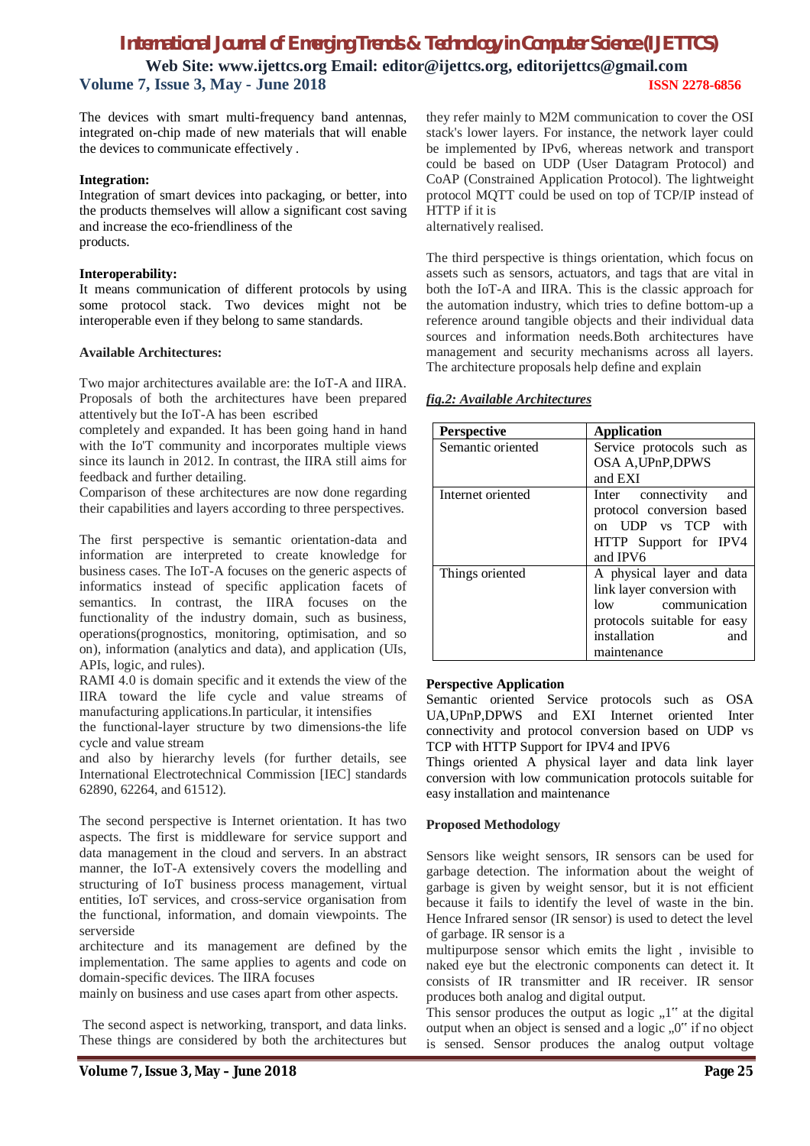# *International Journal of Emerging Trends & Technology in Computer Science (IJETTCS)*

**Web Site: www.ijettcs.org Email: editor@ijettcs.org, [editorijettcs@gmail.com](mailto:editorijettcs@gmail.com)  Volume 7, Issue 3, May - June 2018 ISSN 2278-6856**

The devices with smart multi-frequency band antennas, integrated on-chip made of new materials that will enable the devices to communicate effectively .

## **Integration:**

Integration of smart devices into packaging, or better, into the products themselves will allow a significant cost saving and increase the eco-friendliness of the products.

#### **Interoperability:**

It means communication of different protocols by using some protocol stack. Two devices might not be interoperable even if they belong to same standards.

#### **Available Architectures:**

Two major architectures available are: the IoT-A and IIRA. Proposals of both the architectures have been prepared attentively but the IoT-A has been escribed

completely and expanded. It has been going hand in hand with the Io'T community and incorporates multiple views since its launch in 2012. In contrast, the IIRA still aims for feedback and further detailing.

Comparison of these architectures are now done regarding their capabilities and layers according to three perspectives.

The first perspective is semantic orientation-data and information are interpreted to create knowledge for business cases. The IoT-A focuses on the generic aspects of informatics instead of specific application facets of semantics. In contrast, the IIRA focuses on the functionality of the industry domain, such as business, operations(prognostics, monitoring, optimisation, and so on), information (analytics and data), and application (UIs, APIs, logic, and rules).

RAMI 4.0 is domain specific and it extends the view of the IIRA toward the life cycle and value streams of manufacturing applications.In particular, it intensifies

the functional-layer structure by two dimensions-the life cycle and value stream

and also by hierarchy levels (for further details, see International Electrotechnical Commission [IEC] standards 62890, 62264, and 61512).

The second perspective is Internet orientation. It has two aspects. The first is middleware for service support and data management in the cloud and servers. In an abstract manner, the IoT-A extensively covers the modelling and structuring of IoT business process management, virtual entities, IoT services, and cross-service organisation from the functional, information, and domain viewpoints. The serverside

architecture and its management are defined by the implementation. The same applies to agents and code on domain-specific devices. The IIRA focuses

mainly on business and use cases apart from other aspects.

The second aspect is networking, transport, and data links. These things are considered by both the architectures but

**Volume 7, Issue 3, May – June 2018 Page 25**

they refer mainly to M2M communication to cover the OSI stack's lower layers. For instance, the network layer could be implemented by IPv6, whereas network and transport could be based on UDP (User Datagram Protocol) and CoAP (Constrained Application Protocol). The lightweight protocol MQTT could be used on top of TCP/IP instead of HTTP if it is

alternatively realised.

The third perspective is things orientation, which focus on assets such as sensors, actuators, and tags that are vital in both the IoT-A and IIRA. This is the classic approach for the automation industry, which tries to define bottom-up a reference around tangible objects and their individual data sources and information needs.Both architectures have management and security mechanisms across all layers. The architecture proposals help define and explain

# *fig.2: Available Architectures*

| <b>Perspective</b> | Application                 |
|--------------------|-----------------------------|
| Semantic oriented  | Service protocols such as   |
|                    | OSA A, UPnP, DPWS           |
|                    | and EXI                     |
| Internet oriented  | Inter connectivity<br>and   |
|                    | protocol conversion based   |
|                    | UDP vs TCP with<br>on.      |
|                    | HTTP Support for IPV4       |
|                    | and IPV6                    |
| Things oriented    | A physical layer and data   |
|                    | link layer conversion with  |
|                    | communication<br>low        |
|                    | protocols suitable for easy |
|                    | installation<br>and         |
|                    | maintenance                 |

#### **Perspective Application**

Semantic oriented Service protocols such as OSA UA,UPnP,DPWS and EXI Internet oriented Inter connectivity and protocol conversion based on UDP vs TCP with HTTP Support for IPV4 and IPV6

Things oriented A physical layer and data link layer conversion with low communication protocols suitable for easy installation and maintenance

#### **Proposed Methodology**

Sensors like weight sensors, IR sensors can be used for garbage detection. The information about the weight of garbage is given by weight sensor, but it is not efficient because it fails to identify the level of waste in the bin. Hence Infrared sensor (IR sensor) is used to detect the level of garbage. IR sensor is a

multipurpose sensor which emits the light , invisible to naked eye but the electronic components can detect it. It consists of IR transmitter and IR receiver. IR sensor produces both analog and digital output.

This sensor produces the output as logic  $,1$ " at the digital output when an object is sensed and a logic  $,0$ " if no object is sensed. Sensor produces the analog output voltage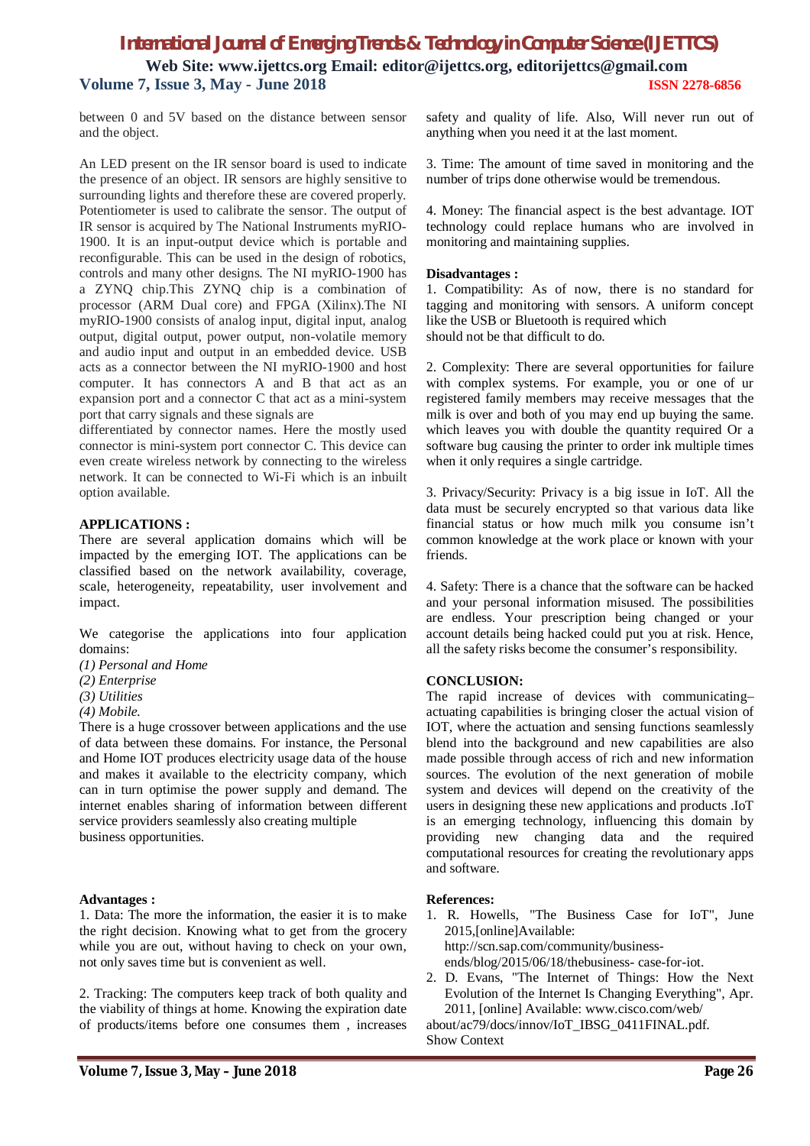# *International Journal of Emerging Trends & Technology in Computer Science (IJETTCS)* **Web Site: www.ijettcs.org Email: editor@ijettcs.org, [editorijettcs@gmail.com](mailto:editorijettcs@gmail.com)  Volume 7, Issue 3, May - June 2018 ISSN 2278-6856**

between 0 and 5V based on the distance between sensor and the object.

An LED present on the IR sensor board is used to indicate the presence of an object. IR sensors are highly sensitive to surrounding lights and therefore these are covered properly. Potentiometer is used to calibrate the sensor. The output of IR sensor is acquired by The National Instruments myRIO-1900. It is an input-output device which is portable and reconfigurable. This can be used in the design of robotics, controls and many other designs. The NI myRIO-1900 has a ZYNQ chip.This ZYNQ chip is a combination of processor (ARM Dual core) and FPGA (Xilinx).The NI myRIO-1900 consists of analog input, digital input, analog output, digital output, power output, non-volatile memory and audio input and output in an embedded device. USB acts as a connector between the NI myRIO-1900 and host computer. It has connectors A and B that act as an expansion port and a connector C that act as a mini-system port that carry signals and these signals are

differentiated by connector names. Here the mostly used connector is mini-system port connector C. This device can even create wireless network by connecting to the wireless network. It can be connected to Wi-Fi which is an inbuilt option available.

## **APPLICATIONS :**

There are several application domains which will be impacted by the emerging IOT. The applications can be classified based on the network availability, coverage, scale, heterogeneity, repeatability, user involvement and impact.

We categorise the applications into four application domains:

- *(1) Personal and Home*
- *(2) Enterprise*
- *(3) Utilities*
- *(4) Mobile.*

There is a huge crossover between applications and the use of data between these domains. For instance, the Personal and Home IOT produces electricity usage data of the house and makes it available to the electricity company, which can in turn optimise the power supply and demand. The internet enables sharing of information between different service providers seamlessly also creating multiple business opportunities.

## **Advantages :**

1. Data: The more the information, the easier it is to make the right decision. Knowing what to get from the grocery while you are out, without having to check on your own, not only saves time but is convenient as well.

2. Tracking: The computers keep track of both quality and the viability of things at home. Knowing the expiration date of products/items before one consumes them , increases

3. Time: The amount of time saved in monitoring and the number of trips done otherwise would be tremendous.

4. Money: The financial aspect is the best advantage. IOT technology could replace humans who are involved in monitoring and maintaining supplies.

## **Disadvantages :**

1. Compatibility: As of now, there is no standard for tagging and monitoring with sensors. A uniform concept like the USB or Bluetooth is required which should not be that difficult to do.

2. Complexity: There are several opportunities for failure with complex systems. For example, you or one of ur

registered family members may receive messages that the milk is over and both of you may end up buying the same. which leaves you with double the quantity required Or a software bug causing the printer to order ink multiple times when it only requires a single cartridge.

3. Privacy/Security: Privacy is a big issue in IoT. All the data must be securely encrypted so that various data like financial status or how much milk you consume isn't common knowledge at the work place or known with your friends.

4. Safety: There is a chance that the software can be hacked and your personal information misused. The possibilities are endless. Your prescription being changed or your account details being hacked could put you at risk. Hence, all the safety risks become the consumer's responsibility.

## **CONCLUSION:**

The rapid increase of devices with communicating– actuating capabilities is bringing closer the actual vision of IOT, where the actuation and sensing functions seamlessly blend into the background and new capabilities are also made possible through access of rich and new information sources. The evolution of the next generation of mobile system and devices will depend on the creativity of the users in designing these new applications and products .IoT is an emerging technology, influencing this domain by providing new changing data and the required computational resources for creating the revolutionary apps and software.

## **References:**

- 1. R. Howells, "The Business Case for IoT", June 2015,[online]Available: [http://scn.sap.com/community/business](http://scn.sap.com/community/business-)ends/blog/2015/06/18/thebusiness- case-for-iot.
- 2. D. Evans, "The Internet of Things: How the Next Evolution of the Internet Is Changing Everything", Apr. 2011, [online] Available: [www.cisco.com/web/](http://www.cisco.com/web/)

about/ac79/docs/innov/IoT\_IBSG\_0411FINAL.pdf. Show Context